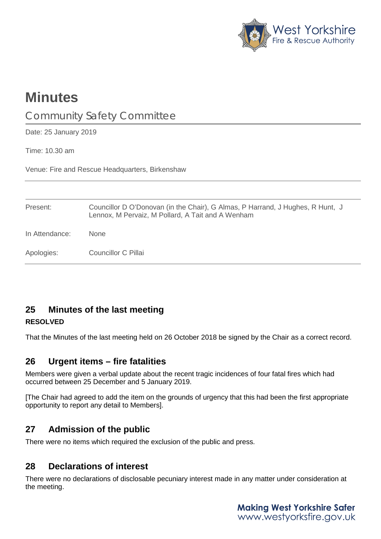

# **Minutes**

# Community Safety Committee

Date: 25 January 2019

Time: 10.30 am

Venue: Fire and Rescue Headquarters, Birkenshaw

| Present:       | Councillor D O'Donovan (in the Chair), G Almas, P Harrand, J Hughes, R Hunt, J<br>Lennox, M Pervaiz, M Pollard, A Tait and A Wenham |
|----------------|-------------------------------------------------------------------------------------------------------------------------------------|
| In Attendance: | <b>None</b>                                                                                                                         |
| Apologies:     | Councillor C Pillai                                                                                                                 |

# **25 Minutes of the last meeting**

#### **RESOLVED**

That the Minutes of the last meeting held on 26 October 2018 be signed by the Chair as a correct record.

### **26 Urgent items – fire fatalities**

Members were given a verbal update about the recent tragic incidences of four fatal fires which had occurred between 25 December and 5 January 2019.

[The Chair had agreed to add the item on the grounds of urgency that this had been the first appropriate opportunity to report any detail to Members].

# **27 Admission of the public**

There were no items which required the exclusion of the public and press.

# **28 Declarations of interest**

There were no declarations of disclosable pecuniary interest made in any matter under consideration at the meeting.

> **Making West Yorkshire Safer** www.westyorksfire.gov.uk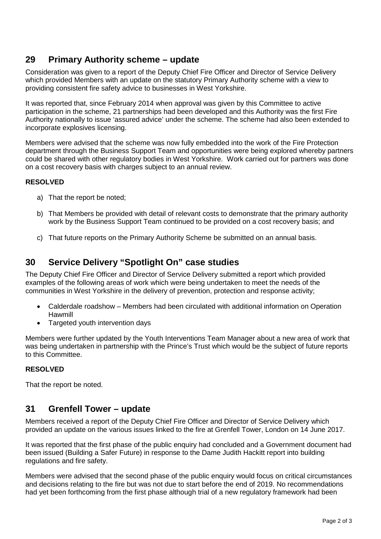## **29 Primary Authority scheme – update**

Consideration was given to a report of the Deputy Chief Fire Officer and Director of Service Delivery which provided Members with an update on the statutory Primary Authority scheme with a view to providing consistent fire safety advice to businesses in West Yorkshire.

It was reported that, since February 2014 when approval was given by this Committee to active participation in the scheme, 21 partnerships had been developed and this Authority was the first Fire Authority nationally to issue 'assured advice' under the scheme. The scheme had also been extended to incorporate explosives licensing.

Members were advised that the scheme was now fully embedded into the work of the Fire Protection department through the Business Support Team and opportunities were being explored whereby partners could be shared with other regulatory bodies in West Yorkshire. Work carried out for partners was done on a cost recovery basis with charges subject to an annual review.

#### **RESOLVED**

- a) That the report be noted;
- b) That Members be provided with detail of relevant costs to demonstrate that the primary authority work by the Business Support Team continued to be provided on a cost recovery basis; and
- c) That future reports on the Primary Authority Scheme be submitted on an annual basis.

### **30 Service Delivery "Spotlight On" case studies**

The Deputy Chief Fire Officer and Director of Service Delivery submitted a report which provided examples of the following areas of work which were being undertaken to meet the needs of the communities in West Yorkshire in the delivery of prevention, protection and response activity;

- Calderdale roadshow Members had been circulated with additional information on Operation Hawmill
- Targeted youth intervention days

Members were further updated by the Youth Interventions Team Manager about a new area of work that was being undertaken in partnership with the Prince's Trust which would be the subject of future reports to this Committee.

#### **RESOLVED**

That the report be noted.

### **31 Grenfell Tower – update**

Members received a report of the Deputy Chief Fire Officer and Director of Service Delivery which provided an update on the various issues linked to the fire at Grenfell Tower, London on 14 June 2017.

It was reported that the first phase of the public enquiry had concluded and a Government document had been issued (Building a Safer Future) in response to the Dame Judith Hackitt report into building regulations and fire safety.

Members were advised that the second phase of the public enquiry would focus on critical circumstances and decisions relating to the fire but was not due to start before the end of 2019. No recommendations had yet been forthcoming from the first phase although trial of a new regulatory framework had been